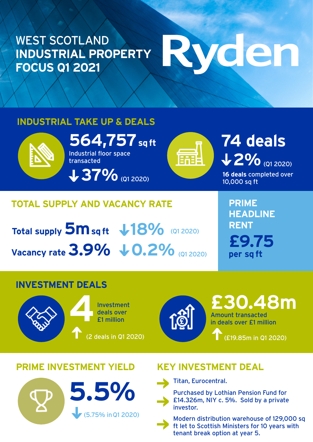### WEST SCOTLAND **INDUSTRIAL PROPERTY FOCUS Q1 2021**

# Ryden

#### **INDUSTRIAL TAKE UP & DEALS**



**564,757** sq ft<br>Industrial floor space<br>transacted Industrial floor space transacted

**37%** (Q1 2020)

## **2% (Q1 2020)**

**16 deals** completed over 10,000 sq ft

#### **TOTAL SUPPLY AND VACANCY RATE**

**Total supply 5m sq ft**  $\frac{18\%}{200\%}$  (Q1 2020) **Vacancy rate 3.9%**  $\downarrow$  **0.2%** (Q1 2020)

**PRIME HEADLINE RENT £9.75 per sq ft**

#### **INVESTMENT DEALS**





Amount transacted in deals over £1 million **£30.48m**

(£19.85m in Q1 2020)

#### **PRIME INVESTMENT YIELD KEY INVESTMENT DEAL**



Titan, Eurocentral.

Purchased by Lothian Pension Fund for £14.326m, NIY c. 5%. Sold by a private investor.



Modern distribution warehouse of 129,000 sq ft let to Scottish Ministers for 10 years with tenant break option at year 5.